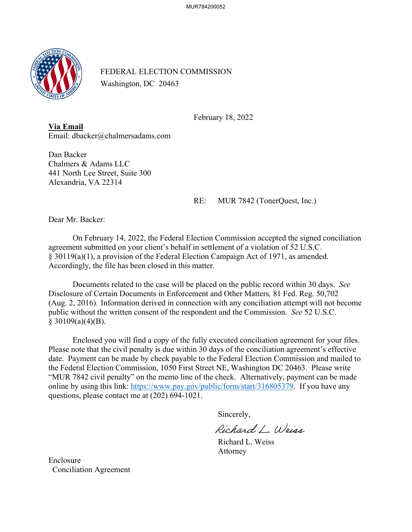

FEDERAL ELECTION COMMISSION Washington, DC 20463

February 18, 2022

**Via Email**  Email: dbacker@chalmersadams.com

Dan Backer Chalmers & Adams LLC 441 North Lee Street, Suite 300 Alexandria, VA 22314

# RE: MUR 7842 (TonerQuest, Inc.)

Dear Mr. Backer:

On February 14, 2022, the Federal Election Commission accepted the signed conciliation agreement submitted on your client's behalf in settlement of a violation of 52 U.S.C. § 30119(a)(1), a provision of the Federal Election Campaign Act of 1971, as amended. Accordingly, the file has been closed in this matter.

Documents related to the case will be placed on the public record within 30 days. *See*  Disclosure of Certain Documents in Enforcement and Other Matters*,* 81 Fed. Reg. 50,702 (Aug. 2, 2016). Information derived in connection with any conciliation attempt will not become public without the written consent of the respondent and the Commission. *See* 52 U.S.C.  $§$  30109(a)(4)(B).

 Enclosed you will find a copy of the fully executed conciliation agreement for your files. Please note that the civil penalty is due within 30 days of the conciliation agreement's effective date. Payment can be made by check payable to the Federal Election Commission and mailed to the Federal Election Commission, [1050 First Street NE, Washington DC 20463.](https://gcc02.safelinks.protection.outlook.com/?url=https%3A%2F%2Fwww.google.com%2Fmaps%2Fsearch%2F1050%2BFirst%2BStreet%2BNE%2BWashington%2BDC%2B20463%3Fentry%3Dgmail%26source%3Dg&data=04%7C01%7CRWeiss%40fec.gov%7C84c55453fef245bce24608d9e543f40a%7Cee91fa706c9d45e0bb084a355de91010%7C0%7C1%7C637792902312287735%7CUnknown%7CTWFpbGZsb3d8eyJWIjoiMC4wLjAwMDAiLCJQIjoiV2luMzIiLCJBTiI6Ik1haWwiLCJXVCI6Mn0%3D%7C2000&sdata=84S%2BCShk98UGVFf63UzNa9TVesM%2FRnFVFjwTzOjhDbo%3D&reserved=0) Please write "MUR 7842 civil penalty" on the memo line of the check. Alternatively, payment can be made online by using this link: [https://www.pay.gov/public/form/start/316805379.](https://www.pay.gov/public/form/start/316805379) If you have any questions, please contact me at (202) 694-1021.

Sincerely,

Richard L. Weiss

 Richard L. Weiss Attorney

Enclosure Conciliation Agreement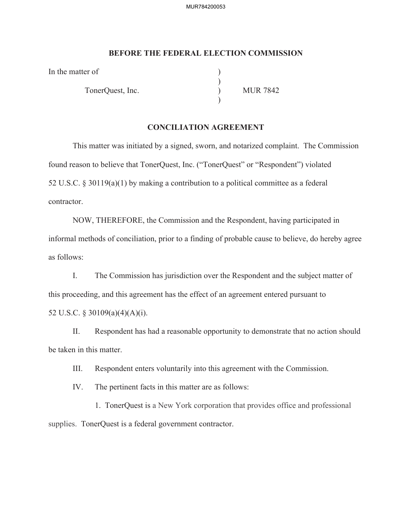## **BEFORE THE FEDERAL ELECTION COMMISSION**

In the matter of

TonerQuest, Inc. (a) MUR 7842

 $)$ 

 $)$ 

# **CONCILIATION AGREEMENT**

This matter was initiated by a signed, sworn, and notarized complaint. The Commission found reason to believe that TonerQuest, Inc. ("TonerQuest" or "Respondent") violated 52 U.S.C. § 30119(a)(1) by making a contribution to a political committee as a federal contractor.

NOW, THEREFORE, the Commission and the Respondent, having participated in informal methods of conciliation, prior to a finding of probable cause to believe, do hereby agree as follows:

I. The Commission has jurisdiction over the Respondent and the subject matter of this proceeding, and this agreement has the effect of an agreement entered pursuant to 52 U.S.C. § 30109(a)(4)(A)(i).

II. Respondent has had a reasonable opportunity to demonstrate that no action should be taken in this matter.

III. Respondent enters voluntarily into this agreement with the Commission.

IV. The pertinent facts in this matter are as follows:

 1. TonerQuest is a New York corporation that provides office and professional supplies. TonerQuest is a federal government contractor.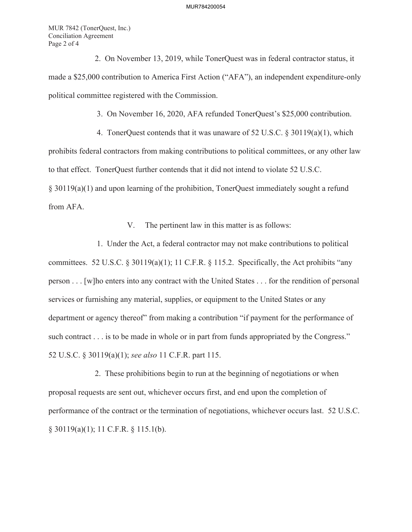MUR 7842 (TonerQuest, Inc.) Conciliation Agreement Page 2 of 4

 2. On November 13, 2019, while TonerQuest was in federal contractor status, it made a \$25,000 contribution to America First Action ("AFA"), an independent expenditure-only political committee registered with the Commission.

3. On November 16, 2020, AFA refunded TonerQuest's \$25,000 contribution.

4. TonerQuest contends that it was unaware of 52 U.S.C. § 30119(a)(1), which prohibits federal contractors from making contributions to political committees, or any other law to that effect. TonerQuest further contends that it did not intend to violate 52 U.S.C. § 30119(a)(1) and upon learning of the prohibition, TonerQuest immediately sought a refund from AFA.

V. The pertinent law in this matter is as follows:

 1. Under the Act, a federal contractor may not make contributions to political committees. 52 U.S.C. § 30119(a)(1); 11 C.F.R. § 115.2. Specifically, the Act prohibits "any person . . . [w]ho enters into any contract with the United States . . . for the rendition of personal services or furnishing any material, supplies, or equipment to the United States or any department or agency thereof" from making a contribution "if payment for the performance of such contract . . . is to be made in whole or in part from funds appropriated by the Congress." 52 U.S.C. § 30119(a)(1); *see also* 11 C.F.R. part 115.

 2. These prohibitions begin to run at the beginning of negotiations or when proposal requests are sent out, whichever occurs first, and end upon the completion of performance of the contract or the termination of negotiations, whichever occurs last. 52 U.S.C. § 30119(a)(1); 11 C.F.R. § 115.1(b).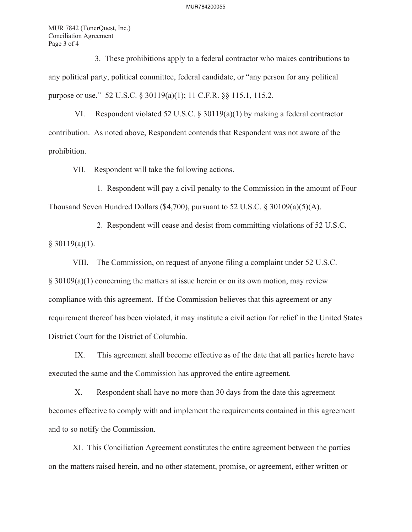#### MUR784200055

MUR 7842 (TonerQuest, Inc.) Conciliation Agreement Page 3 of 4

 3. These prohibitions apply to a federal contractor who makes contributions to any political party, political committee, federal candidate, or "any person for any political purpose or use." 52 U.S.C. § 30119(a)(1); 11 C.F.R. §§ 115.1, 115.2.

 VI. Respondent violated 52 U.S.C. § 30119(a)(1) by making a federal contractor contribution. As noted above, Respondent contends that Respondent was not aware of the prohibition.

VII. Respondent will take the following actions.

 1. Respondent will pay a civil penalty to the Commission in the amount of Four Thousand Seven Hundred Dollars (\$4,700), pursuant to 52 U.S.C. § 30109(a)(5)(A).

2. Respondent will cease and desist from committing violations of 52 U.S.C.  $§$  30119(a)(1).

 VIII. The Commission, on request of anyone filing a complaint under 52 U.S.C. § 30109(a)(1) concerning the matters at issue herein or on its own motion, may review compliance with this agreement. If the Commission believes that this agreement or any requirement thereof has been violated, it may institute a civil action for relief in the United States District Court for the District of Columbia.

 IX. This agreement shall become effective as of the date that all parties hereto have executed the same and the Commission has approved the entire agreement.

 X. Respondent shall have no more than 30 days from the date this agreement becomes effective to comply with and implement the requirements contained in this agreement and to so notify the Commission.

 XI. This Conciliation Agreement constitutes the entire agreement between the parties on the matters raised herein, and no other statement, promise, or agreement, either written or